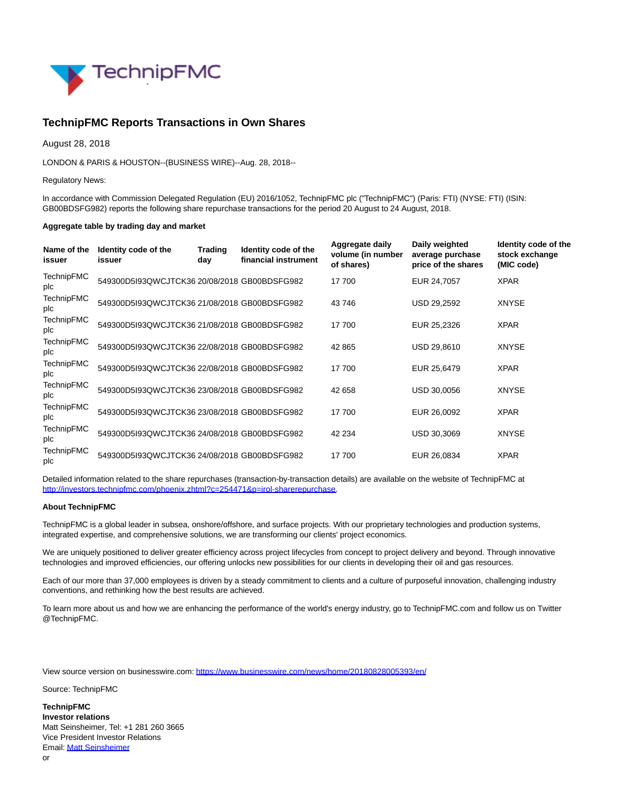

## **TechnipFMC Reports Transactions in Own Shares**

August 28, 2018

LONDON & PARIS & HOUSTON--(BUSINESS WIRE)--Aug. 28, 2018--

Regulatory News:

In accordance with Commission Delegated Regulation (EU) 2016/1052, TechnipFMC plc ("TechnipFMC") (Paris: FTI) (NYSE: FTI) (ISIN: GB00BDSFG982) reports the following share repurchase transactions for the period 20 August to 24 August, 2018.

## **Aggregate table by trading day and market**

| Name of the<br>issuer    | Identity code of the<br>issuer               | <b>Trading</b><br>day | Identity code of the<br>financial instrument | Aggregate daily<br>volume (in number<br>of shares) | Daily weighted<br>average purchase<br>price of the shares | Identity code of the<br>stock exchange<br>(MIC code) |
|--------------------------|----------------------------------------------|-----------------------|----------------------------------------------|----------------------------------------------------|-----------------------------------------------------------|------------------------------------------------------|
| TechnipFMC<br>plc        | 549300D5I93QWCJTCK36 20/08/2018 GB00BDSFG982 |                       |                                              | 17 700                                             | EUR 24,7057                                               | <b>XPAR</b>                                          |
| <b>TechnipFMC</b><br>plc | 549300D5I93QWCJTCK36 21/08/2018 GB00BDSFG982 |                       |                                              | 43746                                              | USD 29,2592                                               | <b>XNYSE</b>                                         |
| TechnipFMC<br>plc        | 549300D5I93QWCJTCK36 21/08/2018 GB00BDSFG982 |                       |                                              | 17 700                                             | EUR 25,2326                                               | <b>XPAR</b>                                          |
| <b>TechnipFMC</b><br>plc | 549300D5I93QWCJTCK36 22/08/2018 GB00BDSFG982 |                       |                                              | 42 865                                             | USD 29,8610                                               | <b>XNYSE</b>                                         |
| <b>TechnipFMC</b><br>plc | 549300D5I93QWCJTCK36 22/08/2018 GB00BDSFG982 |                       |                                              | 17 700                                             | EUR 25,6479                                               | <b>XPAR</b>                                          |
| <b>TechnipFMC</b><br>plc | 549300D5I93QWCJTCK36 23/08/2018 GB00BDSFG982 |                       |                                              | 42 658                                             | USD 30,0056                                               | <b>XNYSE</b>                                         |
| <b>TechnipFMC</b><br>plc | 549300D5I93QWCJTCK36 23/08/2018 GB00BDSFG982 |                       |                                              | 17 700                                             | EUR 26,0092                                               | <b>XPAR</b>                                          |
| <b>TechnipFMC</b><br>plc | 549300D5I93QWCJTCK36 24/08/2018 GB00BDSFG982 |                       |                                              | 42 234                                             | USD 30,3069                                               | <b>XNYSE</b>                                         |
| <b>TechnipFMC</b><br>plc | 549300D5I93QWCJTCK36 24/08/2018 GB00BDSFG982 |                       |                                              | 17 700                                             | EUR 26,0834                                               | <b>XPAR</b>                                          |

Detailed information related to the share repurchases (transaction-by-transaction details) are available on the website of TechnipFMC at [http://investors.technipfmc.com/phoenix.zhtml?c=254471&p=irol-sharerepurchase.](http://cts.businesswire.com/ct/CT?id=smartlink&url=http%3A%2F%2Finvestors.technipfmc.com%2Fphoenix.zhtml%3Fc%3D254471%26p%3Dirol-sharerepurchase&esheet=51858414&newsitemid=20180828005393&lan=en-US&anchor=http%3A%2F%2Finvestors.technipfmc.com%2Fphoenix.zhtml%3Fc%3D254471%26p%3Dirol-sharerepurchase&index=1&md5=30827183b915de38028a85bf6a6efcbf)

## **About TechnipFMC**

TechnipFMC is a global leader in subsea, onshore/offshore, and surface projects. With our proprietary technologies and production systems, integrated expertise, and comprehensive solutions, we are transforming our clients' project economics.

We are uniquely positioned to deliver greater efficiency across project lifecycles from concept to project delivery and beyond. Through innovative technologies and improved efficiencies, our offering unlocks new possibilities for our clients in developing their oil and gas resources.

Each of our more than 37,000 employees is driven by a steady commitment to clients and a culture of purposeful innovation, challenging industry conventions, and rethinking how the best results are achieved.

To learn more about us and how we are enhancing the performance of the world's energy industry, go to TechnipFMC.com and follow us on Twitter @TechnipFMC.

View source version on businesswire.com:<https://www.businesswire.com/news/home/20180828005393/en/>

Source: TechnipFMC

**TechnipFMC Investor relations** Matt Seinsheimer, Tel: +1 281 260 3665 Vice President Investor Relations Email[: Matt Seinsheimer](mailto:InvestorRelations@TechnipFMC.com) or